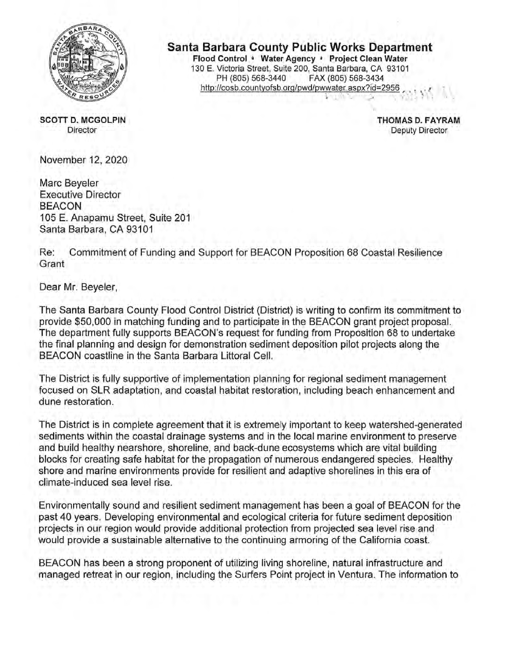

**SCOTT D. MCGOLPIN Director** 

**Santa Barbara County Public Works Department** Flood Control . Water Agency . Project Clean Water 130 E. Victoria Street, Suite 200, Santa Barbara, CA 93101 PH (805) 568-3440 FAX (805) 568-3434 http://cosb.countyofsb.org/pwd/pwwater.aspx?id=2956

> THOMAS D. FAYRAM **Deputy Director**

November 12, 2020

Marc Beyeler **Executive Director BEACON** 105 E. Anapamu Street, Suite 201 Santa Barbara, CA 93101

Re: Commitment of Funding and Support for BEACON Proposition 68 Coastal Resilience Grant

Dear Mr. Beyeler,

The Santa Barbara County Flood Control District (District) is writing to confirm its commitment to provide \$50,000 in matching funding and to participate in the BEACON grant project proposal. The department fully supports BEACON's request for funding from Proposition 68 to undertake the final planning and design for demonstration sediment deposition pilot projects along the BEACON coastline in the Santa Barbara Littoral Cell.

The District is fully supportive of implementation planning for regional sediment management focused on SLR adaptation, and coastal habitat restoration, including beach enhancement and dune restoration.

The District is in complete agreement that it is extremely important to keep watershed-generated sediments within the coastal drainage systems and in the local marine environment to preserve and build healthy nearshore, shoreline, and back-dune ecosystems which are vital building blocks for creating safe habitat for the propagation of numerous endangered species. Healthy shore and marine environments provide for resilient and adaptive shorelines in this era of climate-induced sea level rise.

Environmentally sound and resilient sediment management has been a goal of BEACON for the past 40 years. Developing environmental and ecological criteria for future sediment deposition projects in our region would provide additional protection from projected sea level rise and would provide a sustainable alternative to the continuing armoring of the California coast.

BEACON has been a strong proponent of utilizing living shoreline, natural infrastructure and managed retreat in our region, including the Surfers Point project in Ventura. The information to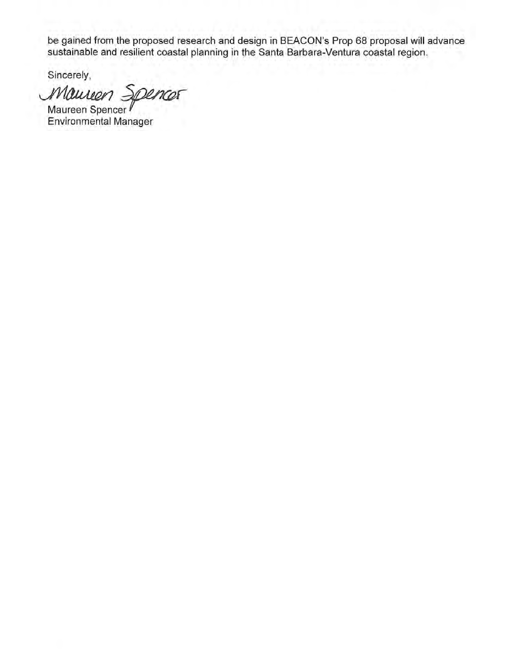be gained from the proposed research and design in BEACON's Prop 68 proposal will advance<br>sustainable and resilient coastal planning in the Santa Barbara-Ventura coastal region.

Sincerely,

Maurien Spencer Maureen Spencer

**Environmental Manager**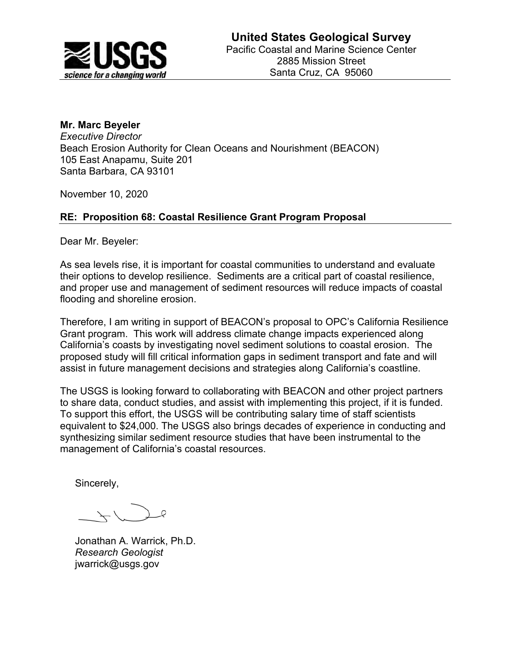

# **Mr. Marc Beyeler**

*Executive Director*  Beach Erosion Authority for Clean Oceans and Nourishment (BEACON) 105 East Anapamu, Suite 201 Santa Barbara, CA 93101

November 10, 2020

# **RE: Proposition 68: Coastal Resilience Grant Program Proposal**

Dear Mr. Beyeler:

As sea levels rise, it is important for coastal communities to understand and evaluate their options to develop resilience. Sediments are a critical part of coastal resilience, and proper use and management of sediment resources will reduce impacts of coastal flooding and shoreline erosion.

Therefore, I am writing in support of BEACON's proposal to OPC's California Resilience Grant program. This work will address climate change impacts experienced along California's coasts by investigating novel sediment solutions to coastal erosion. The proposed study will fill critical information gaps in sediment transport and fate and will assist in future management decisions and strategies along California's coastline.

The USGS is looking forward to collaborating with BEACON and other project partners to share data, conduct studies, and assist with implementing this project, if it is funded. To support this effort, the USGS will be contributing salary time of staff scientists equivalent to \$24,000. The USGS also brings decades of experience in conducting and synthesizing similar sediment resource studies that have been instrumental to the management of California's coastal resources.

Sincerely,

Jonathan A. Warrick, Ph.D. *Research Geologist*  jwarrick@usgs.gov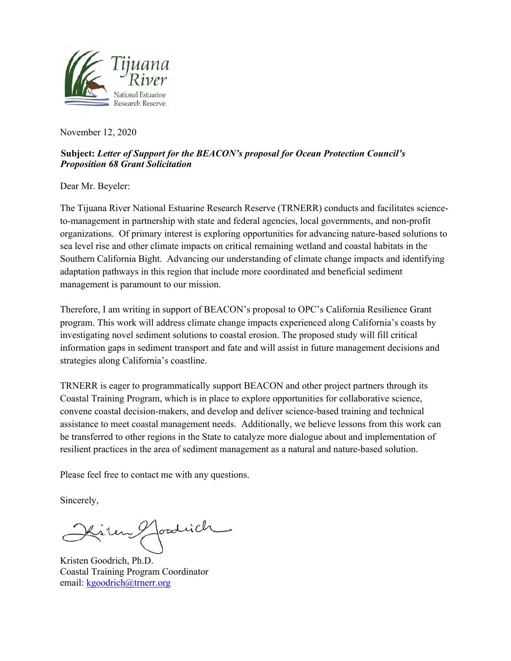

November 12, 2020

# **Subject:** *Letter of Support for the BEACON's proposal for Ocean Protection Council's Proposition 68 Grant Solicitation*

Dear Mr. Beyeler:

The Tijuana River National Estuarine Research Reserve (TRNERR) conducts and facilitates scienceto-management in partnership with state and federal agencies, local governments, and non-profit organizations. Of primary interest is exploring opportunities for advancing nature-based solutions to sea level rise and other climate impacts on critical remaining wetland and coastal habitats in the Southern California Bight. Advancing our understanding of climate change impacts and identifying adaptation pathways in this region that include more coordinated and beneficial sediment management is paramount to our mission.

Therefore, I am writing in support of BEACON's proposal to OPC's California Resilience Grant program. This work will address climate change impacts experienced along California's coasts by investigating novel sediment solutions to coastal erosion. The proposed study will fill critical information gaps in sediment transport and fate and will assist in future management decisions and strategies along California's coastline.

TRNERR is eager to programmatically support BEACON and other project partners through its Coastal Training Program, which is in place to explore opportunities for collaborative science, convene coastal decision-makers, and develop and deliver science-based training and technical assistance to meet coastal management needs. Additionally, we believe lessons from this work can be transferred to other regions in the State to catalyze more dialogue about and implementation of resilient practices in the area of sediment management as a natural and nature-based solution.

Please feel free to contact me with any questions.

Sincerely,

foodrich

Kristen Goodrich, Ph.D. Coastal Training Program Coordinator email: kgoodrich@trnerr.org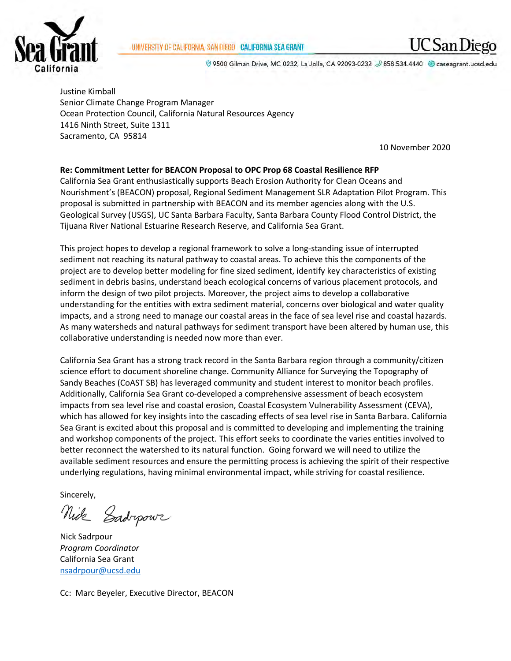### UNIVERSITY OF CALIFORNIA, SAN DIEGO CALIFORNIA SEA GRANT



© 9500 Gilman Drive, MC 0232, La Jolla, CA 92093-0232 2 858.534.4440 © caseagrant.ucsd.edu

Justine Kimball Senior Climate Change Program Manager Ocean Protection Council, California Natural Resources Agency 1416 Ninth Street, Suite 1311 Sacramento, CA 95814

10 November 2020

### **Re: Commitment Letter for BEACON Proposal to OPC Prop 68 Coastal Resilience RFP**

California Sea Grant enthusiastically supports Beach Erosion Authority for Clean Oceans and Nourishment's (BEACON) proposal, Regional Sediment Management SLR Adaptation Pilot Program. This proposal is submitted in partnership with BEACON and its member agencies along with the U.S. Geological Survey (USGS), UC Santa Barbara Faculty, Santa Barbara County Flood Control District, the Tijuana River National Estuarine Research Reserve, and California Sea Grant.

This project hopes to develop a regional framework to solve a long-standing issue of interrupted sediment not reaching its natural pathway to coastal areas. To achieve this the components of the project are to develop better modeling for fine sized sediment, identify key characteristics of existing sediment in debris basins, understand beach ecological concerns of various placement protocols, and inform the design of two pilot projects. Moreover, the project aims to develop a collaborative understanding for the entities with extra sediment material, concerns over biological and water quality impacts, and a strong need to manage our coastal areas in the face of sea level rise and coastal hazards. As many watersheds and natural pathways for sediment transport have been altered by human use, this collaborative understanding is needed now more than ever.

California Sea Grant has a strong track record in the Santa Barbara region through a community/citizen science effort to document shoreline change. Community Alliance for Surveying the Topography of Sandy Beaches (CoAST SB) has leveraged community and student interest to monitor beach profiles. Additionally, California Sea Grant co-developed a comprehensive assessment of beach ecosystem impacts from sea level rise and coastal erosion, Coastal Ecosystem Vulnerability Assessment (CEVA), which has allowed for key insights into the cascading effects of sea level rise in Santa Barbara. California Sea Grant is excited about this proposal and is committed to developing and implementing the training and workshop components of the project. This effort seeks to coordinate the varies entities involved to better reconnect the watershed to its natural function. Going forward we will need to utilize the available sediment resources and ensure the permitting process is achieving the spirit of their respective underlying regulations, having minimal environmental impact, while striving for coastal resilience.

Sincerely,

Nick Gadropown

Nick Sadrpour *Program Coordinator* California Sea Grant nsadrpour@ucsd.edu

Cc: Marc Beyeler, Executive Director, BEACON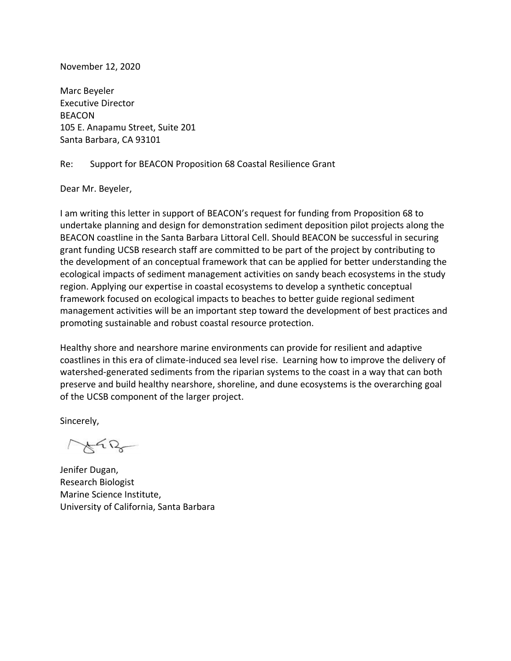### November 12, 2020

Marc Beyeler Executive Director **BEACON** 105 E. Anapamu Street, Suite 201 Santa Barbara, CA 93101

### Re: Support for BEACON Proposition 68 Coastal Resilience Grant

Dear Mr. Beyeler,

I am writing this letter in support of BEACON's request for funding from Proposition 68 to undertake planning and design for demonstration sediment deposition pilot projects along the BEACON coastline in the Santa Barbara Littoral Cell. Should BEACON be successful in securing grant funding UCSB research staff are committed to be part of the project by contributing to the development of an conceptual framework that can be applied for better understanding the ecological impacts of sediment management activities on sandy beach ecosystems in the study region. Applying our expertise in coastal ecosystems to develop a synthetic conceptual framework focused on ecological impacts to beaches to better guide regional sediment management activities will be an important step toward the development of best practices and promoting sustainable and robust coastal resource protection.

Healthy shore and nearshore marine environments can provide for resilient and adaptive coastlines in this era of climate-induced sea level rise. Learning how to improve the delivery of watershed-generated sediments from the riparian systems to the coast in a way that can both preserve and build healthy nearshore, shoreline, and dune ecosystems is the overarching goal of the UCSB component of the larger project.

Sincerely,

Jenifer Dugan, Research Biologist Marine Science Institute, University of California, Santa Barbara